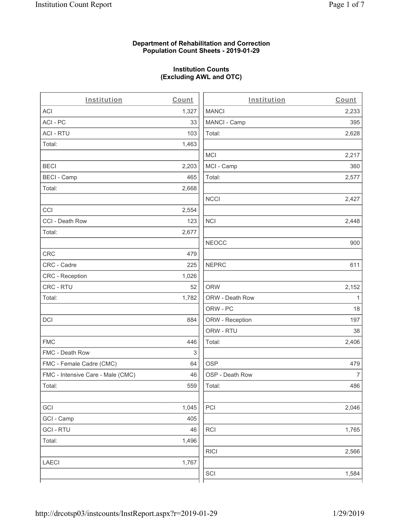#### **Department of Rehabilitation and Correction Population Count Sheets - 2019-01-29**

## **Institution Counts (Excluding AWL and OTC)**

. .

| Institution                       | Count | Institution     | Count        |
|-----------------------------------|-------|-----------------|--------------|
| ACI                               | 1,327 | <b>MANCI</b>    | 2,233        |
| ACI-PC                            | 33    | MANCI - Camp    | 395          |
| <b>ACI - RTU</b>                  | 103   | Total:          | 2,628        |
| Total:                            | 1,463 |                 |              |
|                                   |       | MCI             | 2,217        |
| <b>BECI</b>                       | 2,203 | MCI - Camp      | 360          |
| <b>BECI - Camp</b>                | 465   | Total:          | 2,577        |
| Total:                            | 2,668 |                 |              |
|                                   |       | <b>NCCI</b>     | 2,427        |
| CCI                               | 2,554 |                 |              |
| CCI - Death Row                   | 123   | <b>NCI</b>      | 2,448        |
| Total:                            | 2,677 |                 |              |
|                                   |       | <b>NEOCC</b>    | 900          |
| <b>CRC</b>                        | 479   |                 |              |
| CRC - Cadre                       | 225   | <b>NEPRC</b>    | 611          |
| CRC - Reception                   | 1,026 |                 |              |
| CRC - RTU                         | 52    | <b>ORW</b>      | 2,152        |
| Total:                            | 1,782 | ORW - Death Row | $\mathbf{1}$ |
|                                   |       | ORW - PC        | 18           |
| DCI                               | 884   | ORW - Reception | 197          |
|                                   |       | ORW - RTU       | 38           |
| <b>FMC</b>                        | 446   | Total:          | 2,406        |
| FMC - Death Row                   | 3     |                 |              |
| FMC - Female Cadre (CMC)          | 64    | <b>OSP</b>      | 479          |
| FMC - Intensive Care - Male (CMC) | 46    | OSP - Death Row | 7            |
| Total:                            | 559   | Total:          | 486          |
|                                   |       |                 |              |
| GCI                               | 1,045 | PCI             | 2,046        |
| GCI - Camp                        | 405   |                 |              |
| <b>GCI-RTU</b>                    | 46    | <b>RCI</b>      | 1,765        |
| Total:                            | 1,496 |                 |              |
|                                   |       | <b>RICI</b>     | 2,566        |
| <b>LAECI</b>                      | 1,767 |                 |              |
|                                   |       | SCI             | 1,584        |
|                                   |       |                 |              |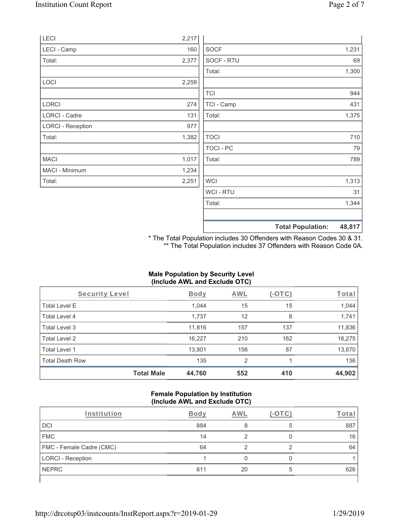|                          |       |                  | <b>Total Population:</b> | 48,817 |
|--------------------------|-------|------------------|--------------------------|--------|
|                          |       |                  |                          |        |
|                          |       | Total:           |                          | 1,344  |
|                          |       | WCI - RTU        |                          | 31     |
| Total:                   | 2,251 | <b>WCI</b>       |                          | 1,313  |
| MACI - Minimum           | 1,234 |                  |                          |        |
| <b>MACI</b>              | 1,017 | Total:           |                          | 789    |
|                          |       | <b>TOCI - PC</b> |                          | 79     |
| Total:                   | 1,382 | <b>TOCI</b>      |                          | 710    |
| <b>LORCI - Reception</b> | 977   |                  |                          |        |
| LORCI - Cadre            | 131   | Total:           |                          | 1,375  |
| <b>LORCI</b>             | 274   | TCI - Camp       |                          | 431    |
|                          |       | <b>TCI</b>       |                          | 944    |
| LOCI                     | 2,259 |                  |                          |        |
|                          |       | Total:           |                          | 1,300  |
| Total:                   | 2,377 | SOCF - RTU       |                          | 69     |
| LECI - Camp              | 160   | <b>SOCF</b>      |                          | 1,231  |
| <b>LECI</b>              | 2,217 |                  |                          |        |

\* The Total Population includes 30 Offenders with Reason Codes 30 & 31. \*\* The Total Population includes 37 Offenders with Reason Code 0A.

#### **Male Population by Security Level (Include AWL and Exclude OTC)**

| Security Level         |                   | <b>Body</b> | <b>AWL</b>     | (-OTC) | Total  |
|------------------------|-------------------|-------------|----------------|--------|--------|
| <b>Total Level E</b>   |                   | 1,044       | 15             | 15     | 1,044  |
| Total Level 4          |                   | 1,737       | 12             | 8      | 1,741  |
| Total Level 3          |                   | 11,816      | 157            | 137    | 11,836 |
| Total Level 2          |                   | 16,227      | 210            | 162    | 16,275 |
| Total Level 1          |                   | 13,801      | 156            | 87     | 13,870 |
| <b>Total Death Row</b> |                   | 135         | $\overline{2}$ |        | 136    |
|                        | <b>Total Male</b> | 44,760      | 552            | 410    | 44,902 |

#### **Female Population by Institution (Include AWL and Exclude OTC)**

| Institution              | <b>Body</b> | AWI |   | Total |
|--------------------------|-------------|-----|---|-------|
| <b>DCI</b>               | 884         |     |   | 887   |
| <b>FMC</b>               | 14          |     |   | 16    |
| FMC - Female Cadre (CMC) | 64          |     |   | 64    |
| LORCI - Reception        |             |     |   |       |
| <b>NEPRC</b>             | 611         | 20  | 5 | 626   |
|                          |             |     |   |       |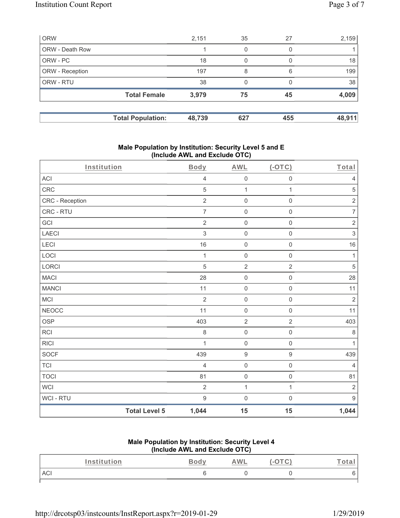| <b>ORW</b>      |                          | 2,151  | 35  | 27  | 2,159  |
|-----------------|--------------------------|--------|-----|-----|--------|
| ORW - Death Row |                          |        | 0   | 0   |        |
| ORW - PC        |                          | 18     | 0   |     | 18     |
| ORW - Reception |                          | 197    | 8   | 6   | 199    |
| ORW - RTU       |                          | 38     | 0   |     | 38     |
|                 | <b>Total Female</b>      | 3,979  | 75  | 45  | 4,009  |
|                 | <b>Total Population:</b> | 48,739 | 627 | 455 | 48,911 |

#### **Male Population by Institution: Security Level 5 and E (Include AWL and Exclude OTC)**

| Institution            |                      | Body             | <b>AWL</b>          | $($ -OTC $)$        | Total            |
|------------------------|----------------------|------------------|---------------------|---------------------|------------------|
| ACI                    |                      | $\overline{4}$   | $\mathsf{O}\xspace$ | $\mathsf{O}\xspace$ | $\overline{4}$   |
| CRC                    |                      | 5                | $\mathbf{1}$        | 1                   | $\mathbf 5$      |
| <b>CRC</b> - Reception |                      | $\sqrt{2}$       | $\mathsf{O}\xspace$ | $\mathsf{O}\xspace$ | $\sqrt{2}$       |
| CRC - RTU              |                      | $\overline{7}$   | $\mathsf 0$         | $\mathbf 0$         | $\overline{7}$   |
| GCI                    |                      | $\overline{2}$   | $\mathsf 0$         | $\mathbf 0$         | $\sqrt{2}$       |
| LAECI                  |                      | $\sqrt{3}$       | $\mathsf 0$         | $\mathsf{O}\xspace$ | $\mathsf 3$      |
| LECI                   |                      | 16               | $\mathsf 0$         | $\mathsf{O}\xspace$ | $16$             |
| LOCI                   |                      | $\mathbf 1$      | $\mathsf 0$         | $\mathsf{O}\xspace$ | $\mathbf{1}$     |
| LORCI                  |                      | 5                | $\sqrt{2}$          | $\overline{2}$      | 5                |
| <b>MACI</b>            |                      | 28               | $\mathsf 0$         | $\mathbf 0$         | 28               |
| <b>MANCI</b>           |                      | 11               | $\mathsf 0$         | $\mathsf{O}\xspace$ | 11               |
| MCI                    |                      | $\overline{2}$   | $\mathsf 0$         | $\mathsf{O}\xspace$ | $\sqrt{2}$       |
| <b>NEOCC</b>           |                      | 11               | $\mathsf 0$         | $\mathsf{O}\xspace$ | 11               |
| OSP                    |                      | 403              | $\sqrt{2}$          | $\overline{c}$      | 403              |
| RCI                    |                      | $\,8\,$          | $\mathsf{O}\xspace$ | $\mathbf 0$         | $\,8\,$          |
| <b>RICI</b>            |                      | 1                | $\mathsf 0$         | $\mathsf{O}\xspace$ | $\mathbf{1}$     |
| SOCF                   |                      | 439              | $\boldsymbol{9}$    | $\hbox{9}$          | 439              |
| <b>TCI</b>             |                      | $\overline{4}$   | $\mathsf 0$         | $\mathbf 0$         | $\overline{4}$   |
| <b>TOCI</b>            |                      | 81               | $\mathsf 0$         | $\mathbf 0$         | 81               |
| <b>WCI</b>             |                      | $\overline{2}$   | 1                   | $\mathbf{1}$        | $\sqrt{2}$       |
| WCI - RTU              |                      | $\boldsymbol{9}$ | $\mathsf{O}\xspace$ | $\mathsf{O}\xspace$ | $\boldsymbol{9}$ |
|                        | <b>Total Level 5</b> | 1,044            | 15                  | 15                  | 1,044            |

## **Male Population by Institution: Security Level 4 (Include AWL and Exclude OTC)**

| <i>Institution</i> | つへへい<br>⊷∽<br>______ | <b>AWL</b> | $\overline{\phantom{a}}$ | $-$<br>ota |
|--------------------|----------------------|------------|--------------------------|------------|
| ACI                |                      |            |                          |            |
|                    |                      |            |                          |            |

http://drcotsp03/instcounts/InstReport.aspx?r=2019-01-29 1/29/2019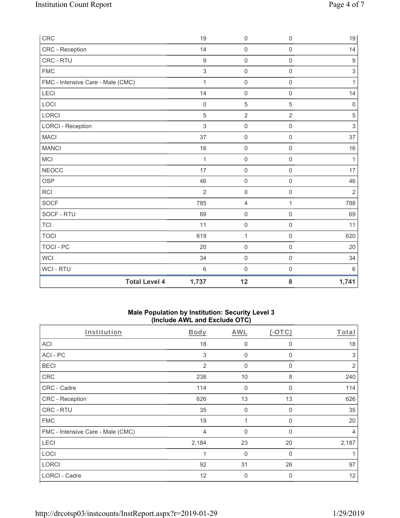| CRC                               | 19               | $\mathsf 0$         | $\mathsf{O}\xspace$ | $19$             |
|-----------------------------------|------------------|---------------------|---------------------|------------------|
| CRC - Reception                   | 14               | $\mathsf{O}\xspace$ | $\mathbf 0$         | 14               |
| CRC - RTU                         | $\boldsymbol{9}$ | $\mathsf 0$         | $\mathsf{O}\xspace$ | $\boldsymbol{9}$ |
| <b>FMC</b>                        | $\sqrt{3}$       | $\mathsf{O}\xspace$ | $\mathsf{O}\xspace$ | $\sqrt{3}$       |
| FMC - Intensive Care - Male (CMC) | $\mathbf{1}$     | $\mathsf{O}\xspace$ | $\mathbf 0$         | $\mathbf{1}$     |
| LECI                              | 14               | $\mathsf 0$         | $\mathbf 0$         | 14               |
| LOCI                              | $\mathbf 0$      | $\sqrt{5}$          | 5                   | $\mathbf 0$      |
| <b>LORCI</b>                      | 5                | $\overline{2}$      | $\overline{2}$      | $\sqrt{5}$       |
| <b>LORCI - Reception</b>          | 3                | $\mathsf{O}\xspace$ | $\mathbf 0$         | $\sqrt{3}$       |
| <b>MACI</b>                       | 37               | $\mathsf 0$         | $\mathbf 0$         | 37               |
| <b>MANCI</b>                      | 16               | $\mathsf{O}\xspace$ | $\mathsf{O}\xspace$ | 16               |
| <b>MCI</b>                        | $\mathbf{1}$     | $\mathsf 0$         | $\mathbf 0$         | $\mathbf{1}$     |
| <b>NEOCC</b>                      | 17               | $\mathsf{O}\xspace$ | $\mathbf 0$         | 17               |
| <b>OSP</b>                        | 46               | $\mathsf{O}\xspace$ | $\mathsf{O}\xspace$ | 46               |
| <b>RCI</b>                        | $\overline{2}$   | $\mathsf{O}\xspace$ | $\mathbf 0$         | $\overline{2}$   |
| <b>SOCF</b>                       | 785              | $\overline{4}$      | 1                   | 788              |
| SOCF - RTU                        | 69               | $\mathsf{O}\xspace$ | $\mathbf 0$         | 69               |
| <b>TCI</b>                        | 11               | $\mathsf 0$         | $\mathbf 0$         | 11               |
| <b>TOCI</b>                       | 619              | $\mathbf{1}$        | $\mathsf{O}\xspace$ | 620              |
| <b>TOCI - PC</b>                  | 20               | $\mathsf{O}\xspace$ | $\mathbf 0$         | 20               |
| <b>WCI</b>                        | 34               | $\mathsf{O}\xspace$ | $\mathbf 0$         | 34               |
| WCI - RTU                         | $\,6\,$          | 0                   | $\mathsf{O}\xspace$ | $6\phantom{1}6$  |
| <b>Total Level 4</b>              | 1,737            | 12                  | 8                   | 1,741            |

#### **Male Population by Institution: Security Level 3 (Include AWL and Exclude OTC)**

| Institution                       | <b>Body</b> | <b>AWL</b>   | $(-OTC)$    | Total          |
|-----------------------------------|-------------|--------------|-------------|----------------|
| <b>ACI</b>                        | 18          | 0            | 0           | 18             |
| ACI-PC                            | 3           | $\mathbf 0$  | $\Omega$    | 3              |
| <b>BECI</b>                       | 2           | 0            | 0           | 2              |
| CRC                               | 238         | 10           | 8           | 240            |
| CRC - Cadre                       | 114         | $\mathbf 0$  | $\Omega$    | 114            |
| CRC - Reception                   | 626         | 13           | 13          | 626            |
| CRC - RTU                         | 35          | 0            | 0           | 35             |
| <b>FMC</b>                        | 19          | 1            | $\Omega$    | 20             |
| FMC - Intensive Care - Male (CMC) | 4           | $\mathbf{0}$ | $\Omega$    | $\overline{4}$ |
| LECI                              | 2,184       | 23           | 20          | 2,187          |
| LOCI                              | 1           | $\mathbf{0}$ | $\Omega$    |                |
| <b>LORCI</b>                      | 92          | 31           | 26          | 97             |
| <b>LORCI - Cadre</b>              | 12          | 0            | $\mathbf 0$ | 12             |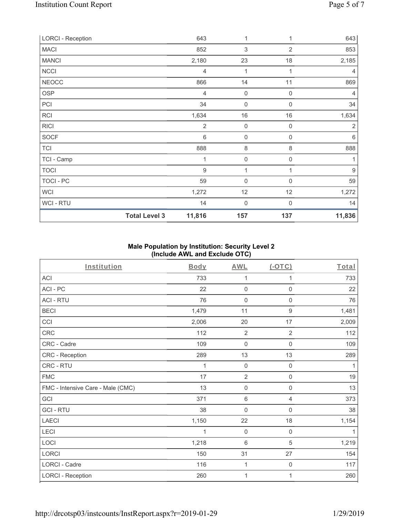| <b>LORCI - Reception</b> |                      | 643              | 1                         |                  | 643              |
|--------------------------|----------------------|------------------|---------------------------|------------------|------------------|
| <b>MACI</b>              |                      | 852              | $\ensuremath{\mathsf{3}}$ | 2                | 853              |
| <b>MANCI</b>             |                      | 2,180            | 23                        | 18               | 2,185            |
| <b>NCCI</b>              |                      | 4                | 1                         | 1                | $\overline{4}$   |
| <b>NEOCC</b>             |                      | 866              | 14                        | 11               | 869              |
| <b>OSP</b>               |                      | 4                | $\mathbf 0$               | $\boldsymbol{0}$ | 4                |
| PCI                      |                      | 34               | $\boldsymbol{0}$          | $\mathbf 0$      | 34               |
| RCI                      |                      | 1,634            | 16                        | 16               | 1,634            |
| <b>RICI</b>              |                      | $\overline{2}$   | $\mathbf 0$               | $\mathbf 0$      | $\overline{2}$   |
| <b>SOCF</b>              |                      | $\,6\,$          | 0                         | $\mathbf 0$      | $\,6\,$          |
| <b>TCI</b>               |                      | 888              | 8                         | 8                | 888              |
| TCI - Camp               |                      | 1                | $\boldsymbol{0}$          | 0                |                  |
| <b>TOCI</b>              |                      | $\boldsymbol{9}$ | 1                         |                  | $\boldsymbol{9}$ |
| TOCI - PC                |                      | 59               | $\mathbf 0$               | 0                | 59               |
| <b>WCI</b>               |                      | 1,272            | 12                        | 12               | 1,272            |
| WCI - RTU                |                      | 14               | $\mathbf 0$               | $\Omega$         | 14               |
|                          | <b>Total Level 3</b> | 11,816           | 157                       | 137              | 11,836           |

# **Male Population by Institution: Security Level 2 (Include AWL and Exclude OTC)**

| Institution                       | <b>Body</b> | <b>AWL</b>          | (OTC)               | Total |
|-----------------------------------|-------------|---------------------|---------------------|-------|
| <b>ACI</b>                        | 733         | 1                   | 1                   | 733   |
| ACI-PC                            | 22          | $\mathbf 0$         | 0                   | 22    |
| <b>ACI - RTU</b>                  | 76          | $\mathsf{O}\xspace$ | 0                   | 76    |
| <b>BECI</b>                       | 1,479       | 11                  | $\boldsymbol{9}$    | 1,481 |
| CCI                               | 2,006       | 20                  | 17                  | 2,009 |
| CRC                               | 112         | $\overline{2}$      | $\overline{2}$      | 112   |
| CRC - Cadre                       | 109         | $\mathsf{O}\xspace$ | $\mathsf{O}\xspace$ | 109   |
| CRC - Reception                   | 289         | 13                  | 13                  | 289   |
| CRC - RTU                         | 1           | $\mathbf 0$         | $\mathbf 0$         | 1     |
| <b>FMC</b>                        | 17          | $\sqrt{2}$          | $\mathsf 0$         | 19    |
| FMC - Intensive Care - Male (CMC) | 13          | $\mathbf 0$         | 0                   | 13    |
| GCI                               | 371         | $\,6\,$             | 4                   | 373   |
| <b>GCI-RTU</b>                    | 38          | 0                   | $\mathsf 0$         | 38    |
| <b>LAECI</b>                      | 1,150       | 22                  | 18                  | 1,154 |
| LECI                              | 1           | $\mathbf 0$         | $\mathsf{O}\xspace$ | 1     |
| LOCI                              | 1,218       | $6\phantom{1}$      | 5                   | 1,219 |
| LORCI                             | 150         | 31                  | 27                  | 154   |
| LORCI - Cadre                     | 116         | $\mathbf 1$         | 0                   | 117   |
| <b>LORCI - Reception</b>          | 260         | 1                   | 1                   | 260   |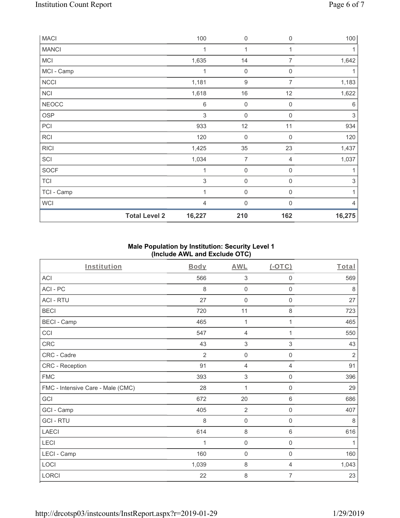| MACI         |                      | 100            | $\boldsymbol{0}$    | $\boldsymbol{0}$    | 100         |
|--------------|----------------------|----------------|---------------------|---------------------|-------------|
| <b>MANCI</b> |                      | 1              | 1                   |                     |             |
| MCI          |                      | 1,635          | 14                  | 7                   | 1,642       |
| MCI - Camp   |                      | 1              | $\boldsymbol{0}$    | 0                   | 1           |
| <b>NCCI</b>  |                      | 1,181          | $\boldsymbol{9}$    | 7                   | 1,183       |
| NCI          |                      | 1,618          | $16$                | 12                  | 1,622       |
| <b>NEOCC</b> |                      | 6              | $\mathsf{O}\xspace$ | $\mathbf 0$         | 6           |
| <b>OSP</b>   |                      | 3              | $\mathsf{O}\xspace$ | $\mathbf 0$         | 3           |
| PCI          |                      | 933            | 12                  | 11                  | 934         |
| <b>RCI</b>   |                      | 120            | 0                   | $\mathbf 0$         | 120         |
| R C          |                      | 1,425          | 35                  | 23                  | 1,437       |
| SCI          |                      | 1,034          | 7                   | 4                   | 1,037       |
| <b>SOCF</b>  |                      | 1              | $\mathsf{O}\xspace$ | $\mathbf 0$         | 1           |
| <b>TCI</b>   |                      | 3              | $\mathsf{O}\xspace$ | $\mathsf{O}\xspace$ | $\,$ 3 $\,$ |
| TCI - Camp   |                      | 1              | $\boldsymbol{0}$    | 0                   | 1           |
| <b>WCI</b>   |                      | $\overline{4}$ | $\boldsymbol{0}$    | $\Omega$            | 4           |
|              | <b>Total Level 2</b> | 16,227         | 210                 | 162                 | 16,275      |

## **Male Population by Institution: Security Level 1 (Include AWL and Exclude OTC)**

| Institution                       | <b>Body</b>    | <b>AWL</b>                | $($ -OTC $)$        | Total          |
|-----------------------------------|----------------|---------------------------|---------------------|----------------|
| <b>ACI</b>                        | 566            | $\sqrt{3}$                | 0                   | 569            |
| ACI-PC                            | 8              | $\mathbf 0$               | 0                   | 8              |
| <b>ACI - RTU</b>                  | 27             | $\mathsf{O}\xspace$       | $\mathsf{O}\xspace$ | 27             |
| <b>BECI</b>                       | 720            | 11                        | 8                   | 723            |
| <b>BECI - Camp</b>                | 465            | 1                         | 1                   | 465            |
| CCI                               | 547            | $\overline{4}$            | 1                   | 550            |
| CRC                               | 43             | $\sqrt{3}$                | $\,$ 3 $\,$         | 43             |
| CRC - Cadre                       | $\overline{2}$ | $\mathbf 0$               | 0                   | $\overline{2}$ |
| CRC - Reception                   | 91             | $\overline{4}$            | $\overline{4}$      | 91             |
| <b>FMC</b>                        | 393            | $\ensuremath{\mathsf{3}}$ | $\mathsf{O}\xspace$ | 396            |
| FMC - Intensive Care - Male (CMC) | 28             | 1                         | 0                   | 29             |
| GCI                               | 672            | 20                        | 6                   | 686            |
| GCI - Camp                        | 405            | $\overline{2}$            | 0                   | 407            |
| <b>GCI-RTU</b>                    | 8              | $\mathbf 0$               | 0                   | 8              |
| <b>LAECI</b>                      | 614            | $\,8\,$                   | $6\,$               | 616            |
| LECI                              | 1              | $\mathsf{O}\xspace$       | $\mathbf 0$         | 1              |
| LECI - Camp                       | 160            | $\mathsf{O}\xspace$       | $\mathsf 0$         | 160            |
| LOCI                              | 1,039          | $\,8\,$                   | $\overline{4}$      | 1,043          |
| LORCI                             | 22             | $\,8\,$                   | 7                   | 23             |